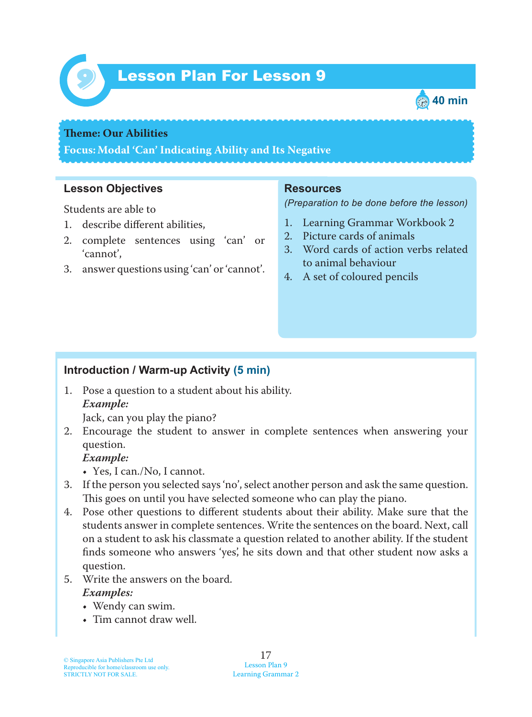

# Lesson Plan For Lesson 9 *9*



#### **Theme: Our Abilities**

**Focus: Modal 'Can' Indicating Ability and Its Negative**

#### **Lesson Objectives**

Students are able to

- 1. describe different abilities,
- 2. complete sentences using 'can' or 'cannot',
- 3. answer questions using 'can' or 'cannot'.

#### **Resources**

*(Preparation to be done before the lesson)*

- 1. Learning Grammar Workbook 2
- 2. Picture cards of animals
- 3. Word cards of action verbs related to animal behaviour
- 4. A set of coloured pencils

#### **Introduction / Warm-up Activity (5 min)**

1. Pose a question to a student about his ability.  *Example:*

Jack, can you play the piano?

2. Encourage the student to answer in complete sentences when answering your question.

#### *Example:*

- Yes, I can./No, I cannot.
- 3. If the person you selected says 'no', select another person and ask the same question. This goes on until you have selected someone who can play the piano.
- 4. Pose other questions to different students about their ability. Make sure that the students answer in complete sentences. Write the sentences on the board. Next, call on a student to ask his classmate a question related to another ability. If the student finds someone who answers 'yes', he sits down and that other student now asks a question.
- 5. Write the answers on the board.  *Examples:*
	- Wendy can swim.
	- Tim cannot draw well.